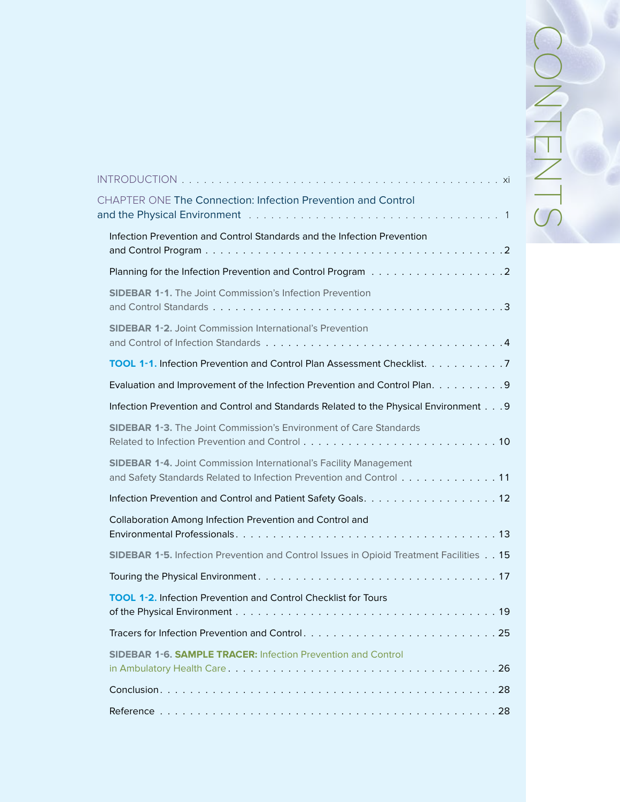| CHAPTER ONE The Connection: Infection Prevention and Control                                                                                    |
|-------------------------------------------------------------------------------------------------------------------------------------------------|
|                                                                                                                                                 |
| Infection Prevention and Control Standards and the Infection Prevention                                                                         |
|                                                                                                                                                 |
| <b>SIDEBAR 1-1.</b> The Joint Commission's Infection Prevention                                                                                 |
| <b>SIDEBAR 1-2.</b> Joint Commission International's Prevention                                                                                 |
| TOOL 1-1. Infection Prevention and Control Plan Assessment Checklist. 7                                                                         |
| Evaluation and Improvement of the Infection Prevention and Control Plan. 9                                                                      |
| Infection Prevention and Control and Standards Related to the Physical Environment 9                                                            |
| <b>SIDEBAR 1-3.</b> The Joint Commission's Environment of Care Standards                                                                        |
| <b>SIDEBAR 1-4. Joint Commission International's Facility Management</b><br>and Safety Standards Related to Infection Prevention and Control 11 |
| Infection Prevention and Control and Patient Safety Goals. 12                                                                                   |
| Collaboration Among Infection Prevention and Control and                                                                                        |
|                                                                                                                                                 |
| SIDEBAR 1-5. Infection Prevention and Control Issues in Opioid Treatment Facilities 15                                                          |
|                                                                                                                                                 |
| <b>TOOL 1-2.</b> Infection Prevention and Control Checklist for Tours                                                                           |
|                                                                                                                                                 |
| <b>SIDEBAR 1-6. SAMPLE TRACER: Infection Prevention and Control</b>                                                                             |
|                                                                                                                                                 |
|                                                                                                                                                 |
|                                                                                                                                                 |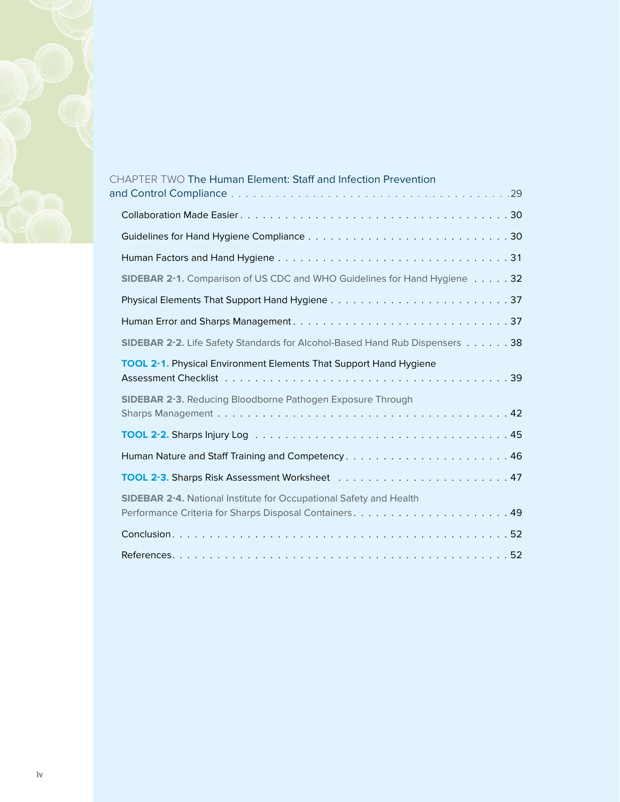

| <b>CHAPTER TWO The Human Element: Staff and Infection Prevention</b>        |
|-----------------------------------------------------------------------------|
|                                                                             |
|                                                                             |
|                                                                             |
|                                                                             |
| SIDEBAR 2-1. Comparison of US CDC and WHO Guidelines for Hand Hygiene 32    |
|                                                                             |
| Human Error and Sharps Management37                                         |
| SIDEBAR 2-2. Life Safety Standards for Alcohol-Based Hand Rub Dispensers 38 |
| <b>TOOL 2-1.</b> Physical Environment Elements That Support Hand Hygiene    |
| <b>SIDEBAR 2-3. Reducing Bloodborne Pathogen Exposure Through</b>           |
|                                                                             |
| Human Nature and Staff Training and Competency46                            |
|                                                                             |
| <b>SIDEBAR 2-4. National Institute for Occupational Safety and Health</b>   |
|                                                                             |
|                                                                             |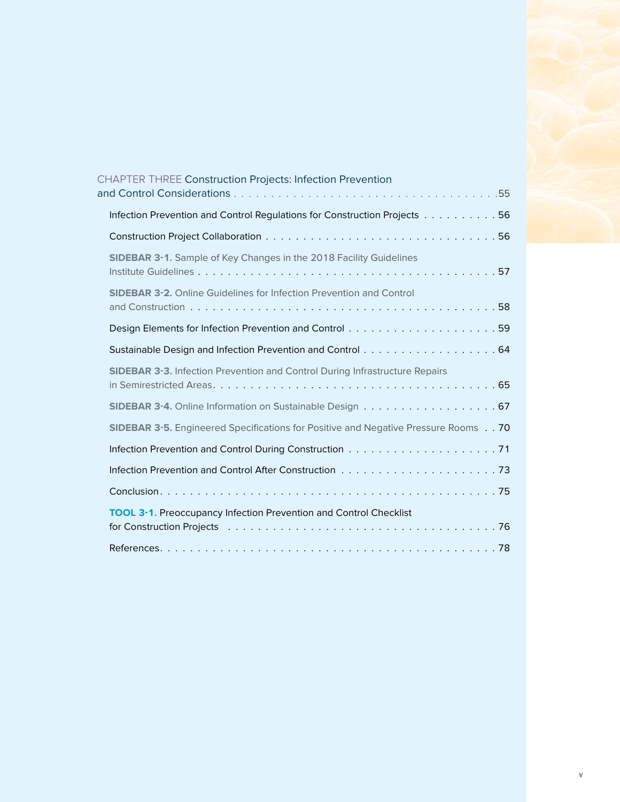| CHAPTER THREE Construction Projects: Infection Prevention                          |  |
|------------------------------------------------------------------------------------|--|
| Infection Prevention and Control Regulations for Construction Projects 56          |  |
|                                                                                    |  |
| <b>SIDEBAR 3-1.</b> Sample of Key Changes in the 2018 Facility Guidelines          |  |
| <b>SIDEBAR 3-2.</b> Online Guidelines for Infection Prevention and Control         |  |
|                                                                                    |  |
| Sustainable Design and Infection Prevention and Control 64                         |  |
| <b>SIDEBAR 3-3.</b> Infection Prevention and Control During Infrastructure Repairs |  |
| <b>SIDEBAR 3-4.</b> Online Information on Sustainable Design 67                    |  |
| SIDEBAR 3-5. Engineered Specifications for Positive and Negative Pressure Rooms 70 |  |
|                                                                                    |  |
|                                                                                    |  |
|                                                                                    |  |
| <b>TOOL 3-1.</b> Preoccupancy Infection Prevention and Control Checklist           |  |
|                                                                                    |  |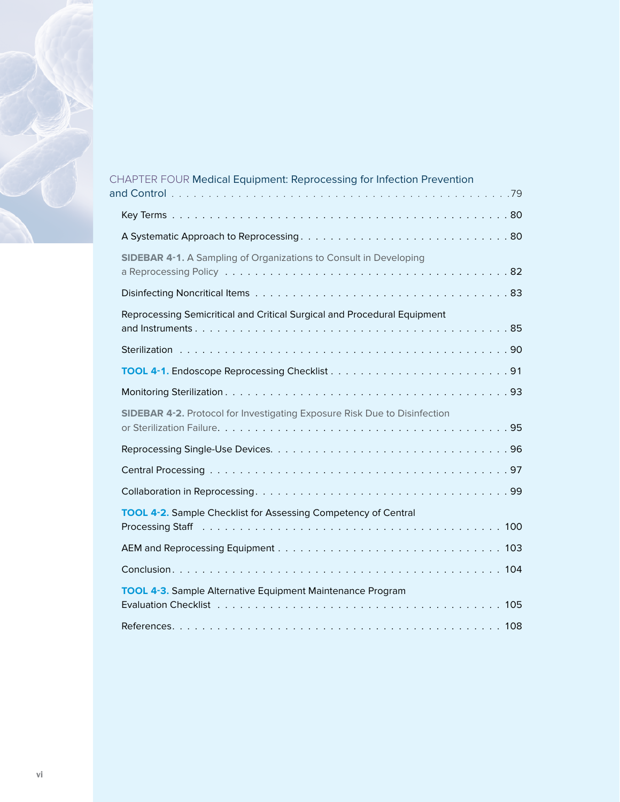

| CHAPTER FOUR Medical Equipment: Reprocessing for Infection Prevention                                                                                                                                                                                                                                  |  |
|--------------------------------------------------------------------------------------------------------------------------------------------------------------------------------------------------------------------------------------------------------------------------------------------------------|--|
|                                                                                                                                                                                                                                                                                                        |  |
|                                                                                                                                                                                                                                                                                                        |  |
|                                                                                                                                                                                                                                                                                                        |  |
| <b>SIDEBAR 4-1.</b> A Sampling of Organizations to Consult in Developing                                                                                                                                                                                                                               |  |
|                                                                                                                                                                                                                                                                                                        |  |
| Reprocessing Semicritical and Critical Surgical and Procedural Equipment                                                                                                                                                                                                                               |  |
|                                                                                                                                                                                                                                                                                                        |  |
|                                                                                                                                                                                                                                                                                                        |  |
|                                                                                                                                                                                                                                                                                                        |  |
|                                                                                                                                                                                                                                                                                                        |  |
| <b>SIDEBAR 4-2.</b> Protocol for Investigating Exposure Risk Due to Disinfection                                                                                                                                                                                                                       |  |
|                                                                                                                                                                                                                                                                                                        |  |
|                                                                                                                                                                                                                                                                                                        |  |
|                                                                                                                                                                                                                                                                                                        |  |
| <b>TOOL 4-2.</b> Sample Checklist for Assessing Competency of Central<br>Processing Staff responses in the control of the control of the control of the control of the control of the control of the control of the control of the control of the control of the control of the control of the control |  |
|                                                                                                                                                                                                                                                                                                        |  |
|                                                                                                                                                                                                                                                                                                        |  |
| <b>TOOL 4-3.</b> Sample Alternative Equipment Maintenance Program                                                                                                                                                                                                                                      |  |
|                                                                                                                                                                                                                                                                                                        |  |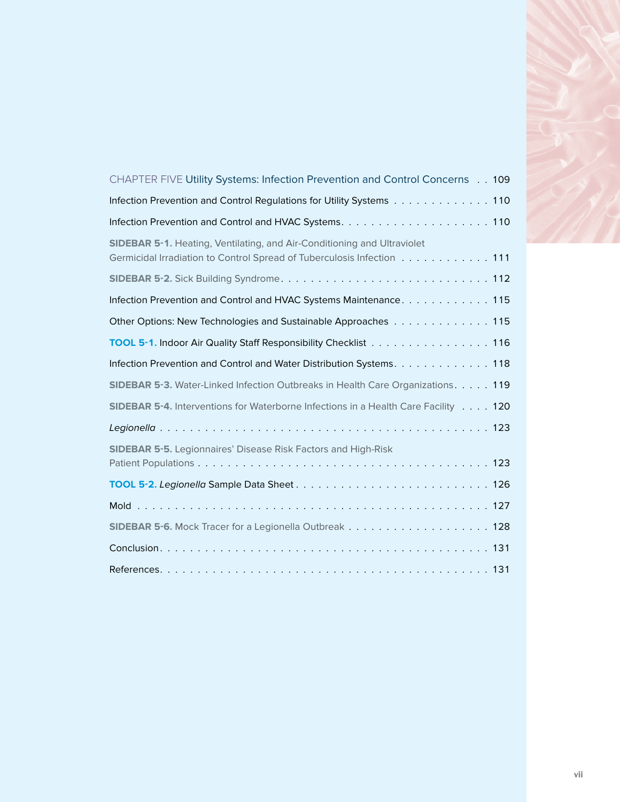| CHAPTER FIVE Utility Systems: Infection Prevention and Control Concerns 109                                                                              |
|----------------------------------------------------------------------------------------------------------------------------------------------------------|
| Infection Prevention and Control Regulations for Utility Systems 110                                                                                     |
|                                                                                                                                                          |
| <b>SIDEBAR 5-1.</b> Heating, Ventilating, and Air-Conditioning and Ultraviolet<br>Germicidal Irradiation to Control Spread of Tuberculosis Infection 111 |
|                                                                                                                                                          |
| Infection Prevention and Control and HVAC Systems Maintenance. 115                                                                                       |
| Other Options: New Technologies and Sustainable Approaches 115                                                                                           |
| TOOL 5-1. Indoor Air Quality Staff Responsibility Checklist 116                                                                                          |
| Infection Prevention and Control and Water Distribution Systems. 118                                                                                     |
| SIDEBAR 5-3. Water-Linked Infection Outbreaks in Health Care Organizations. 119                                                                          |
| SIDEBAR 5-4. Interventions for Waterborne Infections in a Health Care Facility 120                                                                       |
|                                                                                                                                                          |
| <b>SIDEBAR 5-5.</b> Legionnaires' Disease Risk Factors and High-Risk                                                                                     |
|                                                                                                                                                          |
|                                                                                                                                                          |
|                                                                                                                                                          |
|                                                                                                                                                          |
|                                                                                                                                                          |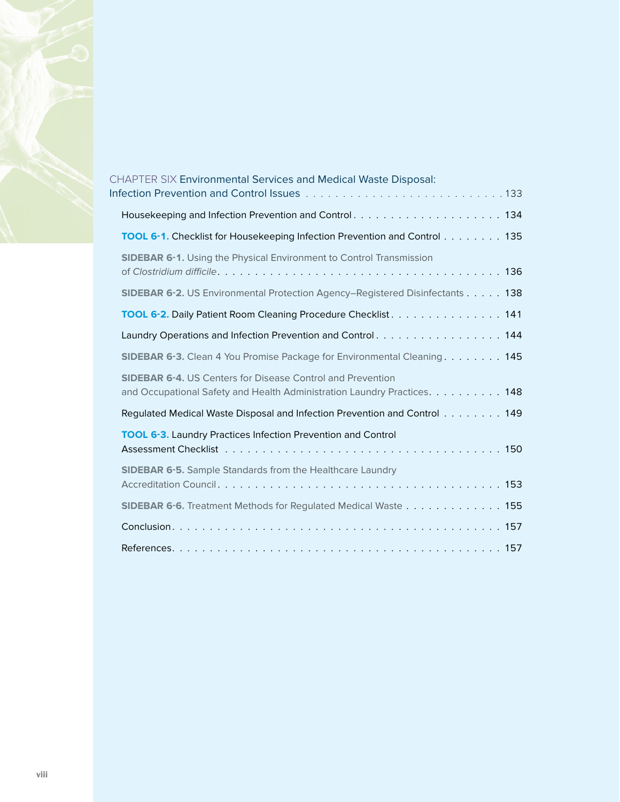

| <b>CHAPTER SIX Environmental Services and Medical Waste Disposal:</b>                                                                         |  |
|-----------------------------------------------------------------------------------------------------------------------------------------------|--|
|                                                                                                                                               |  |
| TOOL 6-1. Checklist for Housekeeping Infection Prevention and Control 135                                                                     |  |
| SIDEBAR 6-1. Using the Physical Environment to Control Transmission                                                                           |  |
| SIDEBAR 6-2. US Environmental Protection Agency–Registered Disinfectants 138                                                                  |  |
| TOOL 6-2. Daily Patient Room Cleaning Procedure Checklist 141                                                                                 |  |
| Laundry Operations and Infection Prevention and Control. 144                                                                                  |  |
| <b>SIDEBAR 6-3.</b> Clean 4 You Promise Package for Environmental Cleaning. 145                                                               |  |
| <b>SIDEBAR 6-4. US Centers for Disease Control and Prevention</b><br>and Occupational Safety and Health Administration Laundry Practices. 148 |  |
| Regulated Medical Waste Disposal and Infection Prevention and Control 149                                                                     |  |
| <b>TOOL 6-3.</b> Laundry Practices Infection Prevention and Control                                                                           |  |
| <b>SIDEBAR 6-5.</b> Sample Standards from the Healthcare Laundry                                                                              |  |
| <b>SIDEBAR 6-6.</b> Treatment Methods for Regulated Medical Waste 155                                                                         |  |
|                                                                                                                                               |  |
|                                                                                                                                               |  |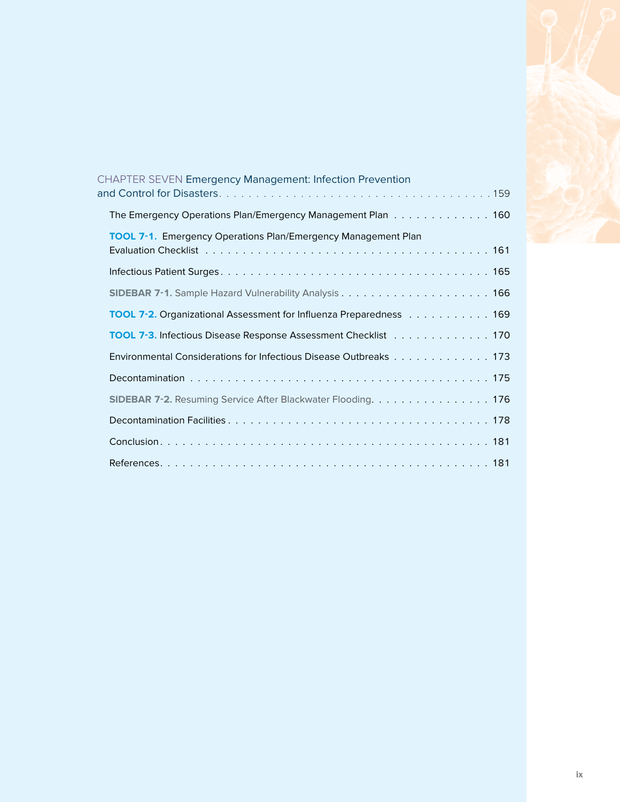

| <b>CHAPTER SEVEN Emergency Management: Infection Prevention</b>      |  |
|----------------------------------------------------------------------|--|
| The Emergency Operations Plan/Emergency Management Plan 160          |  |
| <b>TOOL 7-1.</b> Emergency Operations Plan/Emergency Management Plan |  |
|                                                                      |  |
|                                                                      |  |
| TOOL 7-2. Organizational Assessment for Influenza Preparedness 169   |  |
| TOOL 7-3. Infectious Disease Response Assessment Checklist 170       |  |
| Environmental Considerations for Infectious Disease Outbreaks 173    |  |
|                                                                      |  |
| SIDEBAR 7-2. Resuming Service After Blackwater Flooding. 176         |  |
|                                                                      |  |
|                                                                      |  |
|                                                                      |  |